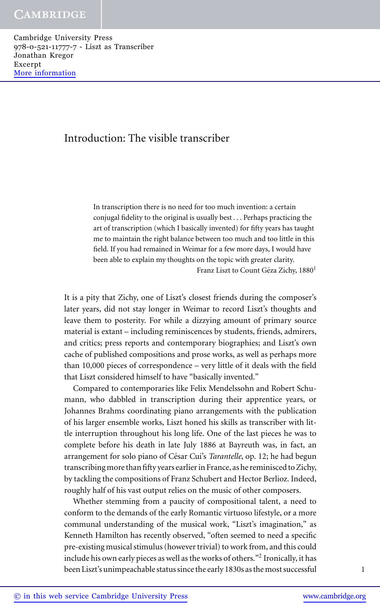Cambridge University Press 978-0-521-11777-7 - Liszt as Transcriber Jonathan Kregor Excerpt [More information](http://www.cambridge.org/9780521117777)

# Introduction: The visible transcriber

In transcription there is no need for too much invention: a certain conjugal fidelity to the original is usually best . . . Perhaps practicing the art of transcription (which I basically invented) for fifty years has taught me to maintain the right balance between too much and too little in this field. If you had remained in Weimar for a few more days, I would have been able to explain my thoughts on the topic with greater clarity.

Franz Liszt to Count Géza Zichy, 1880<sup>1</sup>

It is a pity that Zichy, one of Liszt's closest friends during the composer's later years, did not stay longer in Weimar to record Liszt's thoughts and leave them to posterity. For while a dizzying amount of primary source material is extant – including reminiscences by students, friends, admirers, and critics; press reports and contemporary biographies; and Liszt's own cache of published compositions and prose works, as well as perhaps more than 10,000 pieces of correspondence – very little of it deals with the field that Liszt considered himself to have "basically invented."

Compared to contemporaries like Felix Mendelssohn and Robert Schumann, who dabbled in transcription during their apprentice years, or Johannes Brahms coordinating piano arrangements with the publication of his larger ensemble works, Liszt honed his skills as transcriber with little interruption throughout his long life. One of the last pieces he was to complete before his death in late July 1886 at Bayreuth was, in fact, an arrangement for solo piano of César Cui's *Tarantelle*, op. 12; he had begun transcribing more than fifty years earlier in France, as he reminisced to Zichy, by tackling the compositions of Franz Schubert and Hector Berlioz. Indeed, roughly half of his vast output relies on the music of other composers.

Whether stemming from a paucity of compositional talent, a need to conform to the demands of the early Romantic virtuoso lifestyle, or a more communal understanding of the musical work, "Liszt's imagination," as Kenneth Hamilton has recently observed, "often seemed to need a specific pre-existing musical stimulus (however trivial) to work from, and this could include his own early pieces as well as the works of others."2 Ironically, it has been Liszt's unimpeachable status since the early 1830s as the most successful 1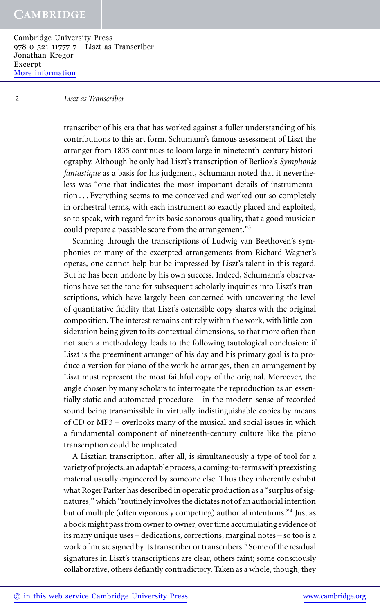Cambridge University Press 978-0-521-11777-7 - Liszt as Transcriber Jonathan Kregor Excerpt [More information](http://www.cambridge.org/9780521117777)

#### 2 *Liszt as Transcriber*

transcriber of his era that has worked against a fuller understanding of his contributions to this art form. Schumann's famous assessment of Liszt the arranger from 1835 continues to loom large in nineteenth-century historiography. Although he only had Liszt's transcription of Berlioz's *Symphonie fantastique* as a basis for his judgment, Schumann noted that it nevertheless was "one that indicates the most important details of instrumentation . . . Everything seems to me conceived and worked out so completely in orchestral terms, with each instrument so exactly placed and exploited, so to speak, with regard for its basic sonorous quality, that a good musician could prepare a passable score from the arrangement."<sup>3</sup>

Scanning through the transcriptions of Ludwig van Beethoven's symphonies or many of the excerpted arrangements from Richard Wagner's operas, one cannot help but be impressed by Liszt's talent in this regard. But he has been undone by his own success. Indeed, Schumann's observations have set the tone for subsequent scholarly inquiries into Liszt's transcriptions, which have largely been concerned with uncovering the level of quantitative fidelity that Liszt's ostensible copy shares with the original composition. The interest remains entirely within the work, with little consideration being given to its contextual dimensions, so that more often than not such a methodology leads to the following tautological conclusion: if Liszt is the preeminent arranger of his day and his primary goal is to produce a version for piano of the work he arranges, then an arrangement by Liszt must represent the most faithful copy of the original. Moreover, the angle chosen by many scholars to interrogate the reproduction as an essentially static and automated procedure – in the modern sense of recorded sound being transmissible in virtually indistinguishable copies by means of CD or MP3 – overlooks many of the musical and social issues in which a fundamental component of nineteenth-century culture like the piano transcription could be implicated.

A Lisztian transcription, after all, is simultaneously a type of tool for a variety of projects, an adaptable process, a coming-to-terms with preexisting material usually engineered by someone else. Thus they inherently exhibit what Roger Parker has described in operatic production as a "surplus of signatures," which "routinely involves the dictates not of an authorial intention but of multiple (often vigorously competing) authorial intentions."<sup>4</sup> Just as a book might pass from owner to owner, over time accumulating evidence of its many unique uses – dedications, corrections, marginal notes – so too is a work of music signed by its transcriber or transcribers.<sup>5</sup> Some of the residual signatures in Liszt's transcriptions are clear, others faint; some consciously collaborative, others defiantly contradictory. Taken as a whole, though, they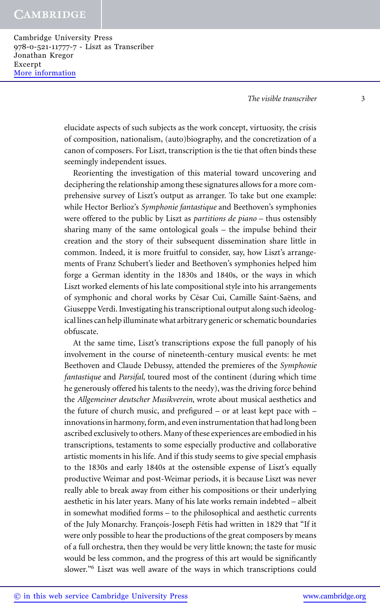Cambridge University Press 978-0-521-11777-7 - Liszt as Transcriber Jonathan Kregor Excerpt [More information](http://www.cambridge.org/9780521117777)

*The visible transcriber* 3

elucidate aspects of such subjects as the work concept, virtuosity, the crisis of composition, nationalism, (auto)biography, and the concretization of a canon of composers. For Liszt, transcription is the tie that often binds these seemingly independent issues.

Reorienting the investigation of this material toward uncovering and deciphering the relationship among these signatures allows for a more comprehensive survey of Liszt's output as arranger. To take but one example: while Hector Berlioz's *Symphonie fantastique* and Beethoven's symphonies were offered to the public by Liszt as *partitions de piano* – thus ostensibly sharing many of the same ontological goals – the impulse behind their creation and the story of their subsequent dissemination share little in common. Indeed, it is more fruitful to consider, say, how Liszt's arrangements of Franz Schubert's lieder and Beethoven's symphonies helped him forge a German identity in the 1830s and 1840s, or the ways in which Liszt worked elements of his late compositional style into his arrangements of symphonic and choral works by César Cui, Camille Saint-Saëns, and Giuseppe Verdi. Investigating his transcriptional output along such ideological lines can help illuminate what arbitrary generic or schematic boundaries obfuscate.

At the same time, Liszt's transcriptions expose the full panoply of his involvement in the course of nineteenth-century musical events: he met Beethoven and Claude Debussy, attended the premieres of the *Symphonie fantastique* and *Parsifal*, toured most of the continent (during which time he generously offered his talents to the needy), was the driving force behind the *Allgemeiner deutscher Musikverein*, wrote about musical aesthetics and the future of church music, and prefigured – or at least kept pace with – innovations in harmony, form, and even instrumentation that had long been ascribed exclusively to others. Many of these experiences are embodied in his transcriptions, testaments to some especially productive and collaborative artistic moments in his life. And if this study seems to give special emphasis to the 1830s and early 1840s at the ostensible expense of Liszt's equally productive Weimar and post-Weimar periods, it is because Liszt was never really able to break away from either his compositions or their underlying aesthetic in his later years. Many of his late works remain indebted – albeit in somewhat modified forms – to the philosophical and aesthetic currents of the July Monarchy. François-Joseph Fétis had written in 1829 that "If it were only possible to hear the productions of the great composers by means of a full orchestra, then they would be very little known; the taste for music would be less common, and the progress of this art would be significantly slower."<sup>6</sup> Liszt was well aware of the ways in which transcriptions could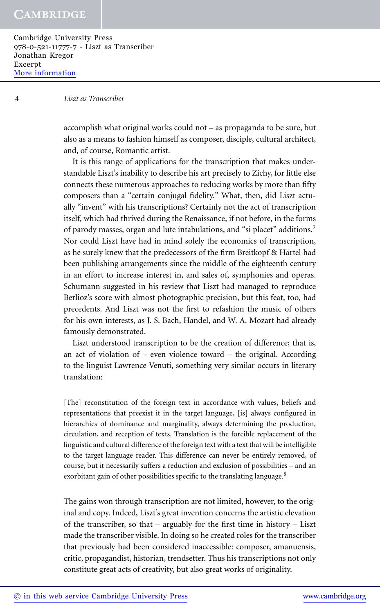Cambridge University Press 978-0-521-11777-7 - Liszt as Transcriber Jonathan Kregor Excerpt [More information](http://www.cambridge.org/9780521117777)

#### 4 *Liszt as Transcriber*

accomplish what original works could not – as propaganda to be sure, but also as a means to fashion himself as composer, disciple, cultural architect, and, of course, Romantic artist.

It is this range of applications for the transcription that makes understandable Liszt's inability to describe his art precisely to Zichy, for little else connects these numerous approaches to reducing works by more than fifty composers than a "certain conjugal fidelity." What, then, did Liszt actually "invent" with his transcriptions? Certainly not the act of transcription itself, which had thrived during the Renaissance, if not before, in the forms of parody masses, organ and lute intabulations, and "si placet" additions.7 Nor could Liszt have had in mind solely the economics of transcription, as he surely knew that the predecessors of the firm Breitkopf & Härtel had been publishing arrangements since the middle of the eighteenth century in an effort to increase interest in, and sales of, symphonies and operas. Schumann suggested in his review that Liszt had managed to reproduce Berlioz's score with almost photographic precision, but this feat, too, had precedents. And Liszt was not the first to refashion the music of others for his own interests, as J. S. Bach, Handel, and W. A. Mozart had already famously demonstrated.

Liszt understood transcription to be the creation of difference; that is, an act of violation of – even violence toward – the original. According to the linguist Lawrence Venuti, something very similar occurs in literary translation:

[The] reconstitution of the foreign text in accordance with values, beliefs and representations that preexist it in the target language, [is] always configured in hierarchies of dominance and marginality, always determining the production, circulation, and reception of texts. Translation is the forcible replacement of the linguistic and cultural difference of the foreign text with a text that will be intelligible to the target language reader. This difference can never be entirely removed, of course, but it necessarily suffers a reduction and exclusion of possibilities – and an exorbitant gain of other possibilities specific to the translating language.<sup>8</sup>

The gains won through transcription are not limited, however, to the original and copy. Indeed, Liszt's great invention concerns the artistic elevation of the transcriber, so that – arguably for the first time in history – Liszt made the transcriber visible. In doing so he created roles for the transcriber that previously had been considered inaccessible: composer, amanuensis, critic, propagandist, historian, trendsetter. Thus his transcriptions not only constitute great acts of creativity, but also great works of originality.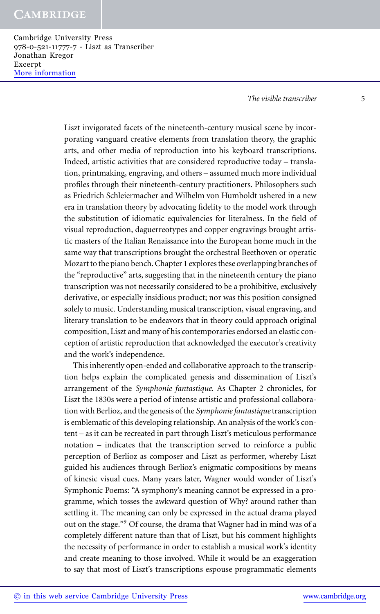Cambridge University Press 978-0-521-11777-7 - Liszt as Transcriber Jonathan Kregor Excerpt [More information](http://www.cambridge.org/9780521117777)

*The visible transcriber* 5

Liszt invigorated facets of the nineteenth-century musical scene by incorporating vanguard creative elements from translation theory, the graphic arts, and other media of reproduction into his keyboard transcriptions. Indeed, artistic activities that are considered reproductive today – translation, printmaking, engraving, and others – assumed much more individual profiles through their nineteenth-century practitioners. Philosophers such as Friedrich Schleiermacher and Wilhelm von Humboldt ushered in a new era in translation theory by advocating fidelity to the model work through the substitution of idiomatic equivalencies for literalness. In the field of visual reproduction, daguerreotypes and copper engravings brought artistic masters of the Italian Renaissance into the European home much in the same way that transcriptions brought the orchestral Beethoven or operatic Mozart to the piano bench.Chapter 1 explores these overlapping branches of the "reproductive" arts, suggesting that in the nineteenth century the piano transcription was not necessarily considered to be a prohibitive, exclusively derivative, or especially insidious product; nor was this position consigned solely to music. Understanding musical transcription, visual engraving, and literary translation to be endeavors that in theory could approach original composition, Liszt and many of his contemporaries endorsed an elastic conception of artistic reproduction that acknowledged the executor's creativity and the work's independence.

This inherently open-ended and collaborative approach to the transcription helps explain the complicated genesis and dissemination of Liszt's arrangement of the *Symphonie fantastique*. As Chapter 2 chronicles, for Liszt the 1830s were a period of intense artistic and professional collaboration with Berlioz, and the genesis of the *Symphonie fantastique*transcription is emblematic of this developing relationship. An analysis of the work's content – as it can be recreated in part through Liszt's meticulous performance notation – indicates that the transcription served to reinforce a public perception of Berlioz as composer and Liszt as performer, whereby Liszt guided his audiences through Berlioz's enigmatic compositions by means of kinesic visual cues. Many years later, Wagner would wonder of Liszt's Symphonic Poems: "A symphony's meaning cannot be expressed in a programme, which tosses the awkward question of Why? around rather than settling it. The meaning can only be expressed in the actual drama played out on the stage."<sup>9</sup> Of course, the drama that Wagner had in mind was of a completely different nature than that of Liszt, but his comment highlights the necessity of performance in order to establish a musical work's identity and create meaning to those involved. While it would be an exaggeration to say that most of Liszt's transcriptions espouse programmatic elements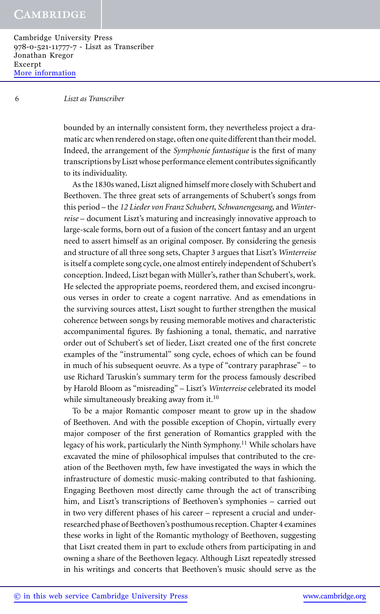Cambridge University Press 978-0-521-11777-7 - Liszt as Transcriber Jonathan Kregor Excerpt [More information](http://www.cambridge.org/9780521117777)

#### 6 *Liszt as Transcriber*

bounded by an internally consistent form, they nevertheless project a dramatic arc when rendered on stage, often one quite different than their model. Indeed, the arrangement of the *Symphonie fantastique* is the first of many transcriptions by Liszt whose performance element contributes significantly to its individuality.

As the 1830s waned, Liszt aligned himself more closely with Schubert and Beethoven. The three great sets of arrangements of Schubert's songs from this period – the *12 Lieder von Franz Schubert*, *Schwanengesang*, and *Winterreise* – document Liszt's maturing and increasingly innovative approach to large-scale forms, born out of a fusion of the concert fantasy and an urgent need to assert himself as an original composer. By considering the genesis and structure of all three song sets, Chapter 3 argues that Liszt's *Winterreise* is itself a complete song cycle, one almost entirely independent of Schubert's conception. Indeed, Liszt began with Müller's, rather than Schubert's, work. He selected the appropriate poems, reordered them, and excised incongruous verses in order to create a cogent narrative. And as emendations in the surviving sources attest, Liszt sought to further strengthen the musical coherence between songs by reusing memorable motives and characteristic accompanimental figures. By fashioning a tonal, thematic, and narrative order out of Schubert's set of lieder, Liszt created one of the first concrete examples of the "instrumental" song cycle, echoes of which can be found in much of his subsequent oeuvre. As a type of "contrary paraphrase" – to use Richard Taruskin's summary term for the process famously described by Harold Bloom as "misreading" – Liszt's *Winterreise* celebrated its model while simultaneously breaking away from it.<sup>10</sup>

To be a major Romantic composer meant to grow up in the shadow of Beethoven. And with the possible exception of Chopin, virtually every major composer of the first generation of Romantics grappled with the legacy of his work, particularly the Ninth Symphony.<sup>11</sup> While scholars have excavated the mine of philosophical impulses that contributed to the creation of the Beethoven myth, few have investigated the ways in which the infrastructure of domestic music-making contributed to that fashioning. Engaging Beethoven most directly came through the act of transcribing him, and Liszt's transcriptions of Beethoven's symphonies – carried out in two very different phases of his career – represent a crucial and underresearched phase of Beethoven's posthumous reception.Chapter 4 examines these works in light of the Romantic mythology of Beethoven, suggesting that Liszt created them in part to exclude others from participating in and owning a share of the Beethoven legacy. Although Liszt repeatedly stressed in his writings and concerts that Beethoven's music should serve as the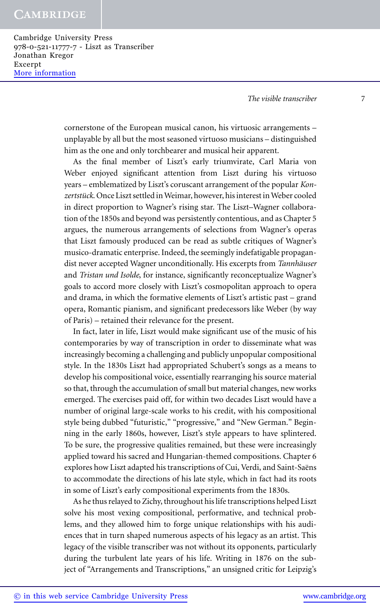Cambridge University Press 978-0-521-11777-7 - Liszt as Transcriber Jonathan Kregor Excerpt [More information](http://www.cambridge.org/9780521117777)

*The visible transcriber* 7

cornerstone of the European musical canon, his virtuosic arrangements – unplayable by all but the most seasoned virtuoso musicians – distinguished him as the one and only torchbearer and musical heir apparent.

As the final member of Liszt's early triumvirate, Carl Maria von Weber enjoyed significant attention from Liszt during his virtuoso years – emblematized by Liszt's coruscant arrangement of the popular *Kon*zertstück. Once Liszt settled in Weimar, however, his interest in Weber cooled in direct proportion to Wagner's rising star. The Liszt–Wagner collaboration of the 1850s and beyond was persistently contentious, and as Chapter 5 argues, the numerous arrangements of selections from Wagner's operas that Liszt famously produced can be read as subtle critiques of Wagner's musico-dramatic enterprise. Indeed, the seemingly indefatigable propagandist never accepted Wagner unconditionally. His excerpts from *Tannhauser ¨* and *Tristan und Isolde*, for instance, significantly reconceptualize Wagner's goals to accord more closely with Liszt's cosmopolitan approach to opera and drama, in which the formative elements of Liszt's artistic past – grand opera, Romantic pianism, and significant predecessors like Weber (by way of Paris) – retained their relevance for the present.

In fact, later in life, Liszt would make significant use of the music of his contemporaries by way of transcription in order to disseminate what was increasingly becoming a challenging and publicly unpopular compositional style. In the 1830s Liszt had appropriated Schubert's songs as a means to develop his compositional voice, essentially rearranging his source material so that, through the accumulation of small but material changes, new works emerged. The exercises paid off, for within two decades Liszt would have a number of original large-scale works to his credit, with his compositional style being dubbed "futuristic," "progressive," and "New German." Beginning in the early 1860s, however, Liszt's style appears to have splintered. To be sure, the progressive qualities remained, but these were increasingly applied toward his sacred and Hungarian-themed compositions. Chapter 6 explores how Liszt adapted his transcriptions of Cui, Verdi, and Saint-Saëns to accommodate the directions of his late style, which in fact had its roots in some of Liszt's early compositional experiments from the 1830s.

As he thus relayed to Zichy, throughout his life transcriptions helped Liszt solve his most vexing compositional, performative, and technical problems, and they allowed him to forge unique relationships with his audiences that in turn shaped numerous aspects of his legacy as an artist. This legacy of the visible transcriber was not without its opponents, particularly during the turbulent late years of his life. Writing in 1876 on the subject of "Arrangements and Transcriptions," an unsigned critic for Leipzig's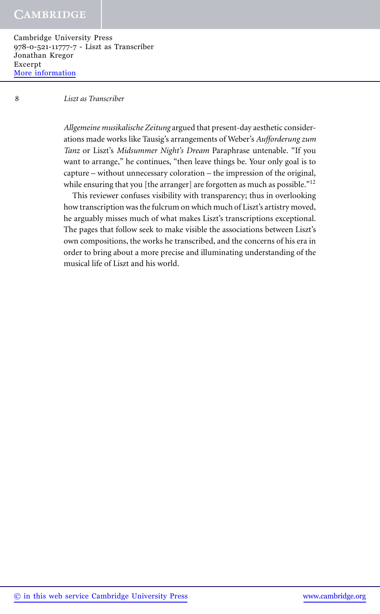Cambridge University Press 978-0-521-11777-7 - Liszt as Transcriber Jonathan Kregor Excerpt [More information](http://www.cambridge.org/9780521117777)

#### 8 *Liszt as Transcriber*

*Allgemeine musikalische Zeitung* argued that present-day aesthetic considerations made works like Tausig's arrangements of Weber's *Aufforderung zum Tanz* or Liszt's *Midsummer Night's Dream* Paraphrase untenable. "If you want to arrange," he continues, "then leave things be. Your only goal is to capture – without unnecessary coloration – the impression of the original, while ensuring that you [the arranger] are forgotten as much as possible."<sup>12</sup>

This reviewer confuses visibility with transparency; thus in overlooking how transcription was the fulcrum on which much of Liszt's artistry moved, he arguably misses much of what makes Liszt's transcriptions exceptional. The pages that follow seek to make visible the associations between Liszt's own compositions, the works he transcribed, and the concerns of his era in order to bring about a more precise and illuminating understanding of the musical life of Liszt and his world.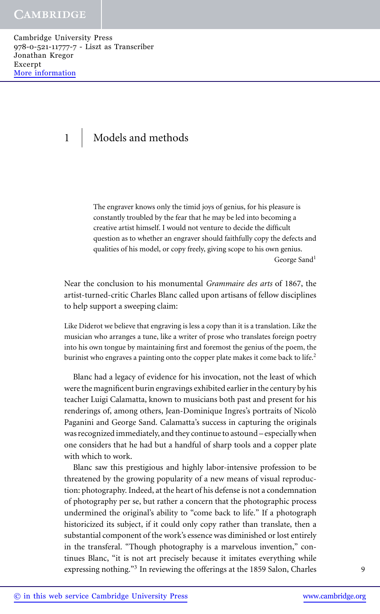Cambridge University Press 978-0-521-11777-7 - Liszt as Transcriber Jonathan Kregor Excerpt [More information](http://www.cambridge.org/9780521117777)

# 1 | Models and methods

The engraver knows only the timid joys of genius, for his pleasure is constantly troubled by the fear that he may be led into becoming a creative artist himself. I would not venture to decide the difficult question as to whether an engraver should faithfully copy the defects and qualities of his model, or copy freely, giving scope to his own genius. George Sand<sup>1</sup>

Near the conclusion to his monumental *Grammaire des arts* of 1867, the artist-turned-critic Charles Blanc called upon artisans of fellow disciplines to help support a sweeping claim:

Like Diderot we believe that engraving is less a copy than it is a translation. Like the musician who arranges a tune, like a writer of prose who translates foreign poetry into his own tongue by maintaining first and foremost the genius of the poem, the burinist who engraves a painting onto the copper plate makes it come back to life.<sup>2</sup>

Blanc had a legacy of evidence for his invocation, not the least of which were the magnificent burin engravings exhibited earlier in the century by his teacher Luigi Calamatta, known to musicians both past and present for his renderings of, among others, Jean-Dominique Ingres's portraits of Nicolo` Paganini and George Sand. Calamatta's success in capturing the originals was recognized immediately, and they continue to astound – especially when one considers that he had but a handful of sharp tools and a copper plate with which to work.

Blanc saw this prestigious and highly labor-intensive profession to be threatened by the growing popularity of a new means of visual reproduction: photography. Indeed, at the heart of his defense is not a condemnation of photography per se, but rather a concern that the photographic process undermined the original's ability to "come back to life." If a photograph historicized its subject, if it could only copy rather than translate, then a substantial component of the work's essence was diminished or lost entirely in the transferal. "Though photography is a marvelous invention," continues Blanc, "it is not art precisely because it imitates everything while expressing nothing.<sup>"3</sup> In reviewing the offerings at the 1859 Salon, Charles 9